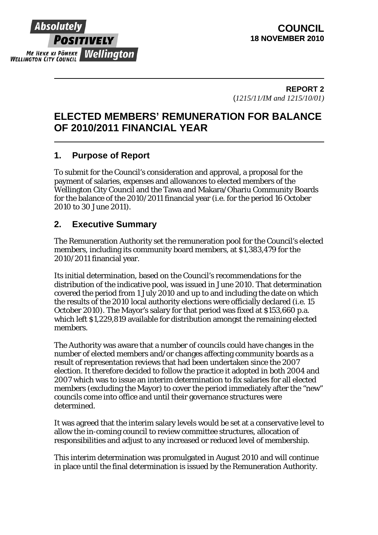

**REPORT 2**  (*1215/11/IM and 1215/10/01)*

# **ELECTED MEMBERS' REMUNERATION FOR BALANCE OF 2010/2011 FINANCIAL YEAR**

# **1. Purpose of Report**

To submit for the Council's consideration and approval, a proposal for the payment of salaries, expenses and allowances to elected members of the Wellington City Council and the Tawa and Makara/Ohariu Community Boards for the balance of the 2010/2011 financial year (i.e. for the period 16 October 2010 to 30 June 2011).

## **2. Executive Summary**

The Remuneration Authority set the remuneration pool for the Council's elected members, including its community board members, at \$1,383,479 for the 2010/2011 financial year.

Its initial determination, based on the Council's recommendations for the distribution of the indicative pool, was issued in June 2010. That determination covered the period from 1 July 2010 and up to and including the date on which the results of the 2010 local authority elections were officially declared (i.e. 15 October 2010). The Mayor's salary for that period was fixed at \$153,660 p.a. which left \$1,229,819 available for distribution amongst the remaining elected members.

The Authority was aware that a number of councils could have changes in the number of elected members and/or changes affecting community boards as a result of representation reviews that had been undertaken since the 2007 election. It therefore decided to follow the practice it adopted in both 2004 and 2007 which was to issue an interim determination to fix salaries for all elected members (excluding the Mayor) to cover the period immediately after the "new" councils come into office and until their governance structures were determined.

It was agreed that the interim salary levels would be set at a conservative level to allow the in-coming council to review committee structures, allocation of responsibilities and adjust to any increased or reduced level of membership.

This interim determination was promulgated in August 2010 and will continue in place until the final determination is issued by the Remuneration Authority.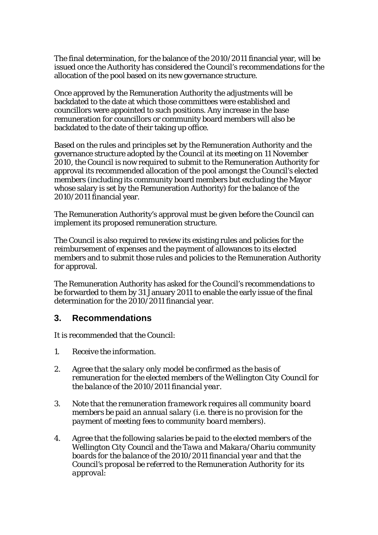The final determination, for the balance of the 2010/2011 financial year, will be issued once the Authority has considered the Council's recommendations for the allocation of the pool based on its new governance structure.

Once approved by the Remuneration Authority the adjustments will be backdated to the date at which those committees were established and councillors were appointed to such positions. Any increase in the base remuneration for councillors or community board members will also be backdated to the date of their taking up office.

Based on the rules and principles set by the Remuneration Authority and the governance structure adopted by the Council at its meeting on 11 November 2010, the Council is now required to submit to the Remuneration Authority for approval its recommended allocation of the pool amongst the Council's elected members (including its community board members but excluding the Mayor whose salary is set by the Remuneration Authority) for the balance of the 2010/2011 financial year.

The Remuneration Authority's approval must be given before the Council can implement its proposed remuneration structure.

The Council is also required to review its existing rules and policies for the reimbursement of expenses and the payment of allowances to its elected members and to submit those rules and policies to the Remuneration Authority for approval.

The Remuneration Authority has asked for the Council's recommendations to be forwarded to them by 31 January 2011 to enable the early issue of the final determination for the 2010/2011 financial year.

## **3. Recommendations**

It is recommended that the Council:

- *1. Receive the information.*
- *2. Agree that the salary only model be confirmed as the basis of remuneration for the elected members of the Wellington City Council for the balance of the 2010/2011 financial year.*
- *3. Note that the remuneration framework requires all community board members be paid an annual salary (i.e. there is no provision for the payment of meeting fees to community board members).*
- *4. Agree that the following salaries be paid to the elected members of the Wellington City Council and the Tawa and Makara/Ohariu community boards for the balance of the 2010/2011 financial year and that the Council's proposal be referred to the Remuneration Authority for its approval:*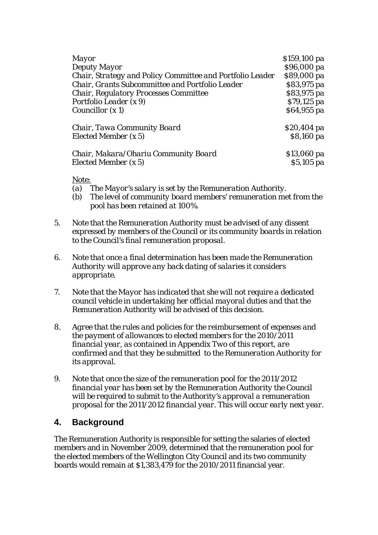| <i>Mayor</i>                                              | \$159,100 pa |
|-----------------------------------------------------------|--------------|
| Deputy Mayor                                              | \$96,000 pa  |
| Chair, Strategy and Policy Committee and Portfolio Leader | \$89,000 pa  |
| Chair, Grants Subcommittee and Portfolio Leader           | \$83,975 pa  |
| Chair, Regulatory Processes Committee                     | \$83,975 pa  |
| Portfolio Leader (x 9)                                    | \$79,125 pa  |
| Councillor $(x 1)$                                        | $$64,955$ pa |
| Chair, Tawa Community Board                               | \$20,404 pa  |
| Elected Member $(x 5)$                                    | \$8,160 pa   |
| Chair, Makara/Ohariu Community Board                      | \$13,060 pa  |
| Elected Member (x 5)                                      | $$5,105$ pa  |

*Note:* 

- *(a) The Mayor's salary is set by the Remuneration Authority.*
- *(b) The level of community board members' remuneration met from the pool has been retained at 100%.*
- *5. Note that the Remuneration Authority must be advised of any dissent expressed by members of the Council or its community boards in relation to the Council's final remuneration proposal.*
- *6. Note that once a final determination has been made the Remuneration Authority will approve any back dating of salaries it considers appropriate.*
- *7. Note that the Mayor has indicated that she will not require a dedicated council vehicle in undertaking her official mayoral duties and that the Remuneration Authority will be advised of this decision.*
- *8. Agree that the rules and policies for the reimbursement of expenses and the payment of allowances to elected members for the 2010/2011 financial year, as contained in Appendix Two of this report, are confirmed and that they be submitted to the Remuneration Authority for its approval.*
- *9. Note that once the size of the remuneration pool for the 2011/2012 financial year has been set by the Remuneration Authority the Council will be required to submit to the Authority's approval a remuneration proposal for the 2011/2012 financial year. This will occur early next year.*

## **4. Background**

The Remuneration Authority is responsible for setting the salaries of elected members and in November 2009, determined that the remuneration pool for the elected members of the Wellington City Council and its two community boards would remain at \$1,383,479 for the 2010/2011 financial year.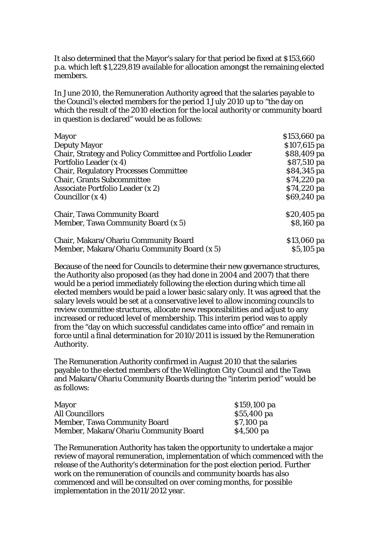It also determined that the Mayor's salary for that period be fixed at \$153,660 p.a. which left \$1,229,819 available for allocation amongst the remaining elected members.

In June 2010, the Remuneration Authority agreed that the salaries payable to the Council's elected members for the period 1 July 2010 up to "the day on which the result of the 2010 election for the local authority or community board in question is declared" would be as follows:

| <b>Mayor</b>                                              | \$153,660 pa  |
|-----------------------------------------------------------|---------------|
| <b>Deputy Mayor</b>                                       | $$107,615$ pa |
| Chair, Strategy and Policy Committee and Portfolio Leader | \$88,409 pa   |
| Portfolio Leader (x 4)                                    | \$87,510 pa   |
| <b>Chair, Regulatory Processes Committee</b>              | \$84,345 pa   |
| <b>Chair, Grants Subcommittee</b>                         | \$74,220 pa   |
| Associate Portfolio Leader (x 2)                          | \$74,220 pa   |
| Councillor $(x 4)$                                        | \$69,240 pa   |
| <b>Chair, Tawa Community Board</b>                        | $$20,405$ pa  |
| Member, Tawa Community Board (x 5)                        | \$8,160 pa    |
| Chair, Makara/Ohariu Community Board                      | \$13,060 pa   |
| Member, Makara/Ohariu Community Board (x 5)               | $$5,105$ pa   |

Because of the need for Councils to determine their new governance structures, the Authority also proposed (as they had done in 2004 and 2007) that there would be a period immediately following the election during which time all elected members would be paid a lower basic salary only. It was agreed that the salary levels would be set at a conservative level to allow incoming councils to review committee structures, allocate new responsibilities and adjust to any increased or reduced level of membership. This interim period was to apply from the "day on which successful candidates came into office" and remain in force until a final determination for 2010/2011 is issued by the Remuneration Authority.

The Remuneration Authority confirmed in August 2010 that the salaries payable to the elected members of the Wellington City Council and the Tawa and Makara/Ohariu Community Boards during the "interim period" would be as follows:

| Mayor                                 | \$159,100 pa |
|---------------------------------------|--------------|
| <b>All Councillors</b>                | \$55,400 pa  |
| <b>Member, Tawa Community Board</b>   | $$7,100$ pa  |
| Member, Makara/Ohariu Community Board | \$4,500 pa   |

The Remuneration Authority has taken the opportunity to undertake a major review of mayoral remuneration, implementation of which commenced with the release of the Authority's determination for the post election period. Further work on the remuneration of councils and community boards has also commenced and will be consulted on over coming months, for possible implementation in the 2011/2012 year.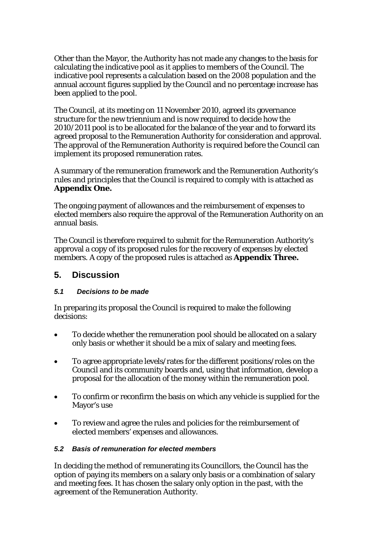Other than the Mayor, the Authority has not made any changes to the basis for calculating the indicative pool as it applies to members of the Council. The indicative pool represents a calculation based on the 2008 population and the annual account figures supplied by the Council and no percentage increase has been applied to the pool.

The Council, at its meeting on 11 November 2010, agreed its governance structure for the new triennium and is now required to decide how the 2010/2011 pool is to be allocated for the balance of the year and to forward its agreed proposal to the Remuneration Authority for consideration and approval. The approval of the Remuneration Authority is required before the Council can implement its proposed remuneration rates.

A summary of the remuneration framework and the Remuneration Authority's rules and principles that the Council is required to comply with is attached as **Appendix One.**

The ongoing payment of allowances and the reimbursement of expenses to elected members also require the approval of the Remuneration Authority on an annual basis.

The Council is therefore required to submit for the Remuneration Authority's approval a copy of its proposed rules for the recovery of expenses by elected members. A copy of the proposed rules is attached as **Appendix Three.**

## **5. Discussion**

## *5.1 Decisions to be made*

In preparing its proposal the Council is required to make the following decisions:

- To decide whether the remuneration pool should be allocated on a salary only basis or whether it should be a mix of salary and meeting fees.
- To agree appropriate levels/rates for the different positions/roles on the Council and its community boards and, using that information, develop a proposal for the allocation of the money within the remuneration pool.
- To confirm or reconfirm the basis on which any vehicle is supplied for the Mayor's use
- To review and agree the rules and policies for the reimbursement of elected members' expenses and allowances.

## *5.2 Basis of remuneration for elected members*

In deciding the method of remunerating its Councillors, the Council has the option of paying its members on a salary only basis or a combination of salary and meeting fees. It has chosen the salary only option in the past, with the agreement of the Remuneration Authority.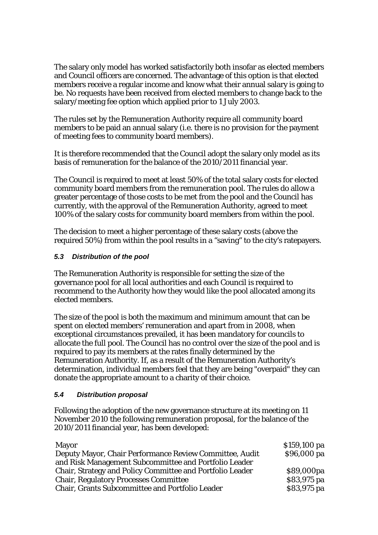The salary only model has worked satisfactorily both insofar as elected members and Council officers are concerned. The advantage of this option is that elected members receive a regular income and know what their annual salary is going to be. No requests have been received from elected members to change back to the salary/meeting fee option which applied prior to 1 July 2003.

The rules set by the Remuneration Authority require all community board members to be paid an annual salary (i.e. there is no provision for the payment of meeting fees to community board members).

It is therefore recommended that the Council adopt the salary only model as its basis of remuneration for the balance of the 2010/2011 financial year.

The Council is required to meet at least 50% of the total salary costs for elected community board members from the remuneration pool. The rules do allow a greater percentage of those costs to be met from the pool and the Council has currently, with the approval of the Remuneration Authority, agreed to meet 100% of the salary costs for community board members from within the pool.

The decision to meet a higher percentage of these salary costs (above the required 50%) from within the pool results in a "saving" to the city's ratepayers.

## *5.3 Distribution of the pool*

The Remuneration Authority is responsible for setting the size of the governance pool for all local authorities and each Council is required to recommend to the Authority how they would like the pool allocated among its elected members.

The size of the pool is both the maximum and minimum amount that can be spent on elected members' remuneration and apart from in 2008, when exceptional circumstances prevailed, it has been mandatory for councils to allocate the full pool. The Council has no control over the size of the pool and is required to pay its members at the rates finally determined by the Remuneration Authority. If, as a result of the Remuneration Authority's determination, individual members feel that they are being "overpaid" they can donate the appropriate amount to a charity of their choice.

#### *5.4 Distribution proposal*

Following the adoption of the new governance structure at its meeting on 11 November 2010 the following remuneration proposal, for the balance of the 2010/2011 financial year, has been developed:

| <b>Mayor</b>                                              | \$159,100 pa |
|-----------------------------------------------------------|--------------|
| Deputy Mayor, Chair Performance Review Committee, Audit   | \$96,000 pa  |
| and Risk Management Subcommittee and Portfolio Leader     |              |
| Chair, Strategy and Policy Committee and Portfolio Leader | \$89,000pa   |
| <b>Chair, Regulatory Processes Committee</b>              | \$83,975 pa  |
| <b>Chair, Grants Subcommittee and Portfolio Leader</b>    | \$83,975 pa  |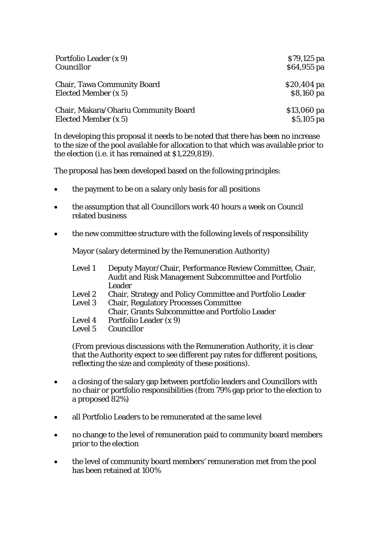| Portfolio Leader (x 9)               | $$79,125$ pa |
|--------------------------------------|--------------|
| Councillor                           | \$64,955 pa  |
| <b>Chair, Tawa Community Board</b>   | $$20,404$ pa |
| Elected Member (x 5)                 | \$8,160 pa   |
| Chair, Makara/Ohariu Community Board | $$13,060$ pa |
| Elected Member (x 5)                 | $$5,105$ pa  |

In developing this proposal it needs to be noted that there has been no increase to the size of the pool available for allocation to that which was available prior to the election (i.e. it has remained at \$1,229,819).

The proposal has been developed based on the following principles:

- the payment to be on a salary only basis for all positions
- the assumption that all Councillors work 40 hours a week on Council related business
- the new committee structure with the following levels of responsibility

Mayor (salary determined by the Remuneration Authority)

| Level 1 | Deputy Mayor/Chair, Performance Review Committee, Chair,<br>Audit and Risk Management Subcommittee and Portfolio<br>Leader |
|---------|----------------------------------------------------------------------------------------------------------------------------|
| Level 2 | Chair, Strategy and Policy Committee and Portfolio Leader                                                                  |
| Level 3 | <b>Chair, Regulatory Processes Committee</b>                                                                               |
|         | <b>Chair, Grants Subcommittee and Portfolio Leader</b>                                                                     |
| Level 4 | Portfolio Leader (x 9)                                                                                                     |
| Level 5 | Councillor                                                                                                                 |
|         |                                                                                                                            |

(From previous discussions with the Remuneration Authority, it is clear that the Authority expect to see different pay rates for different positions, reflecting the size and complexity of these positions).

- a closing of the salary gap between portfolio leaders and Councillors with no chair or portfolio responsibilities (from 79% gap prior to the election to a proposed 82%)
- all Portfolio Leaders to be remunerated at the same level
- no change to the level of remuneration paid to community board members prior to the election
- the level of community board members' remuneration met from the pool has been retained at 100%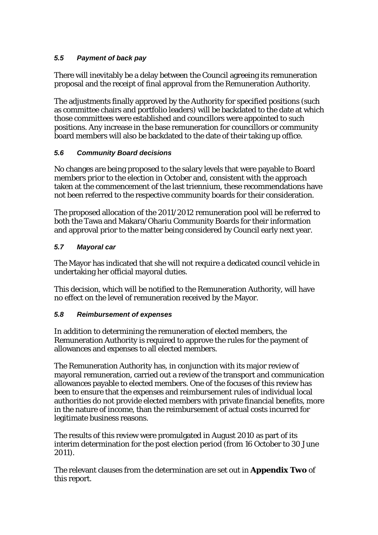## *5.5 Payment of back pay*

There will inevitably be a delay between the Council agreeing its remuneration proposal and the receipt of final approval from the Remuneration Authority.

The adjustments finally approved by the Authority for specified positions (such as committee chairs and portfolio leaders) will be backdated to the date at which those committees were established and councillors were appointed to such positions. Any increase in the base remuneration for councillors or community board members will also be backdated to the date of their taking up office.

## *5.6 Community Board decisions*

No changes are being proposed to the salary levels that were payable to Board members prior to the election in October and, consistent with the approach taken at the commencement of the last triennium, these recommendations have not been referred to the respective community boards for their consideration.

The proposed allocation of the 2011/2012 remuneration pool will be referred to both the Tawa and Makara/Ohariu Community Boards for their information and approval prior to the matter being considered by Council early next year.

## *5.7 Mayoral car*

The Mayor has indicated that she will not require a dedicated council vehicle in undertaking her official mayoral duties.

This decision, which will be notified to the Remuneration Authority, will have no effect on the level of remuneration received by the Mayor.

#### *5.8 Reimbursement of expenses*

In addition to determining the remuneration of elected members, the Remuneration Authority is required to approve the rules for the payment of allowances and expenses to all elected members.

The Remuneration Authority has, in conjunction with its major review of mayoral remuneration, carried out a review of the transport and communication allowances payable to elected members. One of the focuses of this review has been to ensure that the expenses and reimbursement rules of individual local authorities do not provide elected members with private financial benefits, more in the nature of income, than the reimbursement of actual costs incurred for legitimate business reasons.

The results of this review were promulgated in August 2010 as part of its interim determination for the post election period (from 16 October to 30 June 2011).

The relevant clauses from the determination are set out in **Appendix Two** of this report.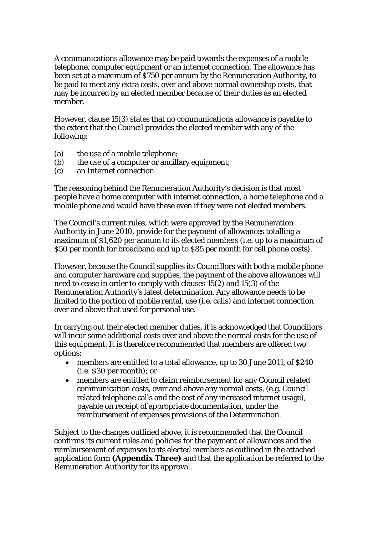A communications allowance may be paid towards the expenses of a mobile telephone, computer equipment or an internet connection. The allowance has been set at a maximum of \$750 per annum by the Remuneration Authority, to be paid to meet any extra costs, over and above normal ownership costs, that may be incurred by an elected member because of their duties as an elected member.

However, clause 15(3) states that no communications allowance is payable to the extent that the Council provides the elected member with any of the following:

- (a) the use of a mobile telephone;
- (b) the use of a computer or ancillary equipment;
- (c) an Internet connection.

The reasoning behind the Remuneration Authority's decision is that most people have a home computer with internet connection, a home telephone and a mobile phone and would have these even if they were not elected members.

The Council's current rules, which were approved by the Remuneration Authority in June 2010, provide for the payment of allowances totalling a maximum of \$1,620 per annum to its elected members (i.e. up to a maximum of \$50 per month for broadband and up to \$85 per month for cell phone costs).

However, because the Council supplies its Councillors with both a mobile phone and computer hardware and supplies, the payment of the above allowances will need to cease in order to comply with clauses 15(2) and 15(3) of the Remuneration Authority's latest determination. Any allowance needs to be limited to the portion of mobile rental, use (i.e. calls) and internet connection over and above that used for personal use.

In carrying out their elected member duties, it is acknowledged that Councillors will incur some additional costs over and above the normal costs for the use of this equipment. It is therefore recommended that members are offered two options:

- members are entitled to a total allowance, up to 30 June 2011, of \$240 (i.e. \$30 per month); or
- members are entitled to claim reimbursement for any Council related communication costs, over and above any normal costs, (e.g. Council related telephone calls and the cost of any increased internet usage), payable on receipt of appropriate documentation, under the reimbursement of expenses provisions of the Determination.

Subject to the changes outlined above, it is recommended that the Council confirms its current rules and policies for the payment of allowances and the reimbursement of expenses to its elected members as outlined in the attached application form **(Appendix Three)** and that the application be referred to the Remuneration Authority for its approval.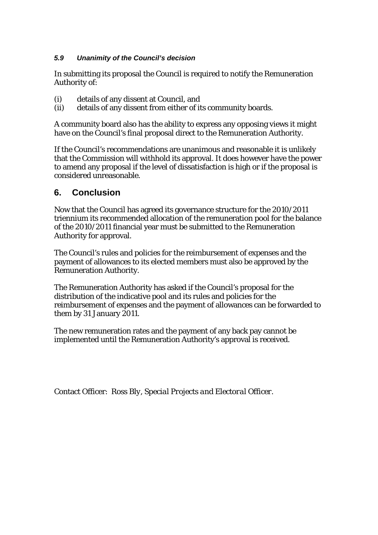## *5.9 Unanimity of the Council's decision*

In submitting its proposal the Council is required to notify the Remuneration Authority of:

- (i) details of any dissent at Council, and
- (ii) details of any dissent from either of its community boards.

A community board also has the ability to express any opposing views it might have on the Council's final proposal direct to the Remuneration Authority.

If the Council's recommendations are unanimous and reasonable it is unlikely that the Commission will withhold its approval. It does however have the power to amend any proposal if the level of dissatisfaction is high or if the proposal is considered unreasonable.

## **6. Conclusion**

Now that the Council has agreed its governance structure for the 2010/2011 triennium its recommended allocation of the remuneration pool for the balance of the 2010/2011 financial year must be submitted to the Remuneration Authority for approval.

The Council's rules and policies for the reimbursement of expenses and the payment of allowances to its elected members must also be approved by the Remuneration Authority.

The Remuneration Authority has asked if the Council's proposal for the distribution of the indicative pool and its rules and policies for the reimbursement of expenses and the payment of allowances can be forwarded to them by 31 January 2011.

The new remuneration rates and the payment of any back pay cannot be implemented until the Remuneration Authority's approval is received.

Contact Officer: *Ross Bly, Special Projects and Electoral Officer.*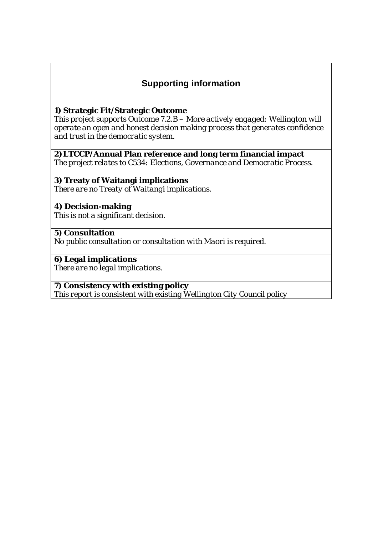# **Supporting information**

#### **1) Strategic Fit/Strategic Outcome**

*This project supports Outcome 7.2.B – More actively engaged: Wellington will operate an open and honest decision making process that generates confidence and trust in the democratic system.*

#### **2)LTCCP/Annual Plan reference and long term financial impact**

*The project relates to C534: Elections, Governance and Democratic Process.*

## **3) Treaty of Waitangi implications**

*There are no Treaty of Waitangi implications.* 

#### **4) Decision-making**  *This is not a significant decision.*

## **5) Consultation**

*No public consultation or consultation with Maori is required.*

## **6) Legal implications**

*There are no legal implications.*

## **7) Consistency with existing policy**

*This report is consistent with existing Wellington City Council policy*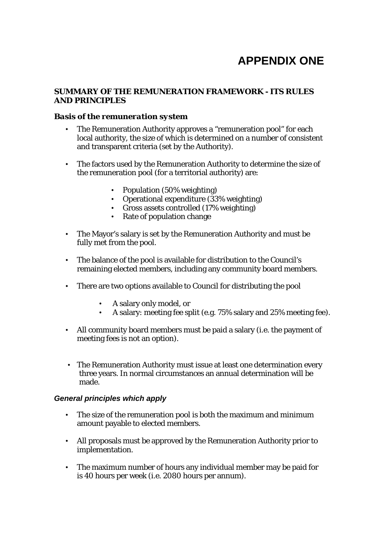# **APPENDIX ONE**

#### **SUMMARY OF THE REMUNERATION FRAMEWORK - ITS RULES AND PRINCIPLES**

#### *Basis of the remuneration system*

- The Remuneration Authority approves a "remuneration pool" for each local authority, the size of which is determined on a number of consistent and transparent criteria (set by the Authority).
- The factors used by the Remuneration Authority to determine the size of the remuneration pool (for a territorial authority) are:
	- Population (50% weighting)
	- Operational expenditure (33% weighting)
	- Gross assets controlled (17% weighting)
	- Rate of population change
- The Mayor's salary is set by the Remuneration Authority and must be fully met from the pool.
- The balance of the pool is available for distribution to the Council's remaining elected members, including any community board members.
- There are two options available to Council for distributing the pool
	- A salary only model, or
	- A salary: meeting fee split (e.g. 75% salary and 25% meeting fee).
- All community board members must be paid a salary (i.e. the payment of meeting fees is not an option).
- The Remuneration Authority must issue at least one determination every three years. In normal circumstances an annual determination will be made.

#### *General principles which apply*

- The size of the remuneration pool is both the maximum and minimum amount payable to elected members.
- All proposals must be approved by the Remuneration Authority prior to implementation.
- The maximum number of hours any individual member may be paid for is 40 hours per week (i.e. 2080 hours per annum).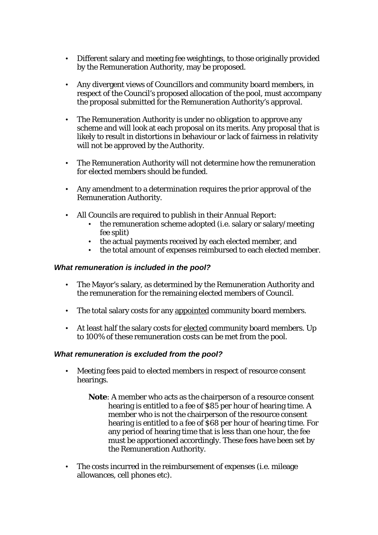- Different salary and meeting fee weightings, to those originally provided by the Remuneration Authority, may be proposed.
- Any divergent views of Councillors and community board members, in respect of the Council's proposed allocation of the pool, must accompany the proposal submitted for the Remuneration Authority's approval.
- The Remuneration Authority is under no obligation to approve any scheme and will look at each proposal on its merits. Any proposal that is likely to result in distortions in behaviour or lack of fairness in relativity will not be approved by the Authority.
- The Remuneration Authority will not determine how the remuneration for elected members should be funded.
- Any amendment to a determination requires the prior approval of the Remuneration Authority.
- All Councils are required to publish in their Annual Report:
	- the remuneration scheme adopted (i.e. salary or salary/meeting fee split)
	- the actual payments received by each elected member, and
	- the total amount of expenses reimbursed to each elected member.

#### *What remuneration is included in the pool?*

- The Mayor's salary, as determined by the Remuneration Authority and the remuneration for the remaining elected members of Council.
- The total salary costs for any appointed community board members.
- At least half the salary costs for elected community board members. Up to 100% of these remuneration costs can be met from the pool.

#### *What remuneration is excluded from the pool?*

- Meeting fees paid to elected members in respect of resource consent hearings.
	- **Note**: A member who acts as the chairperson of a resource consent hearing is entitled to a fee of \$85 per hour of hearing time. A member who is not the chairperson of the resource consent hearing is entitled to a fee of \$68 per hour of hearing time. For any period of hearing time that is less than one hour, the fee must be apportioned accordingly. These fees have been set by the Remuneration Authority.
- The costs incurred in the reimbursement of expenses (i.e. mileage allowances, cell phones etc).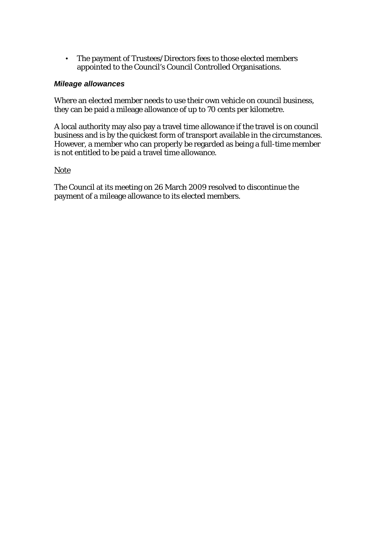• The payment of Trustees/Directors fees to those elected members appointed to the Council's Council Controlled Organisations.

#### *Mileage allowances*

Where an elected member needs to use their own vehicle on council business, they can be paid a mileage allowance of up to 70 cents per kilometre.

A local authority may also pay a travel time allowance if the travel is on council business and is by the quickest form of transport available in the circumstances. However, a member who can properly be regarded as being a full-time member is not entitled to be paid a travel time allowance.

#### Note

The Council at its meeting on 26 March 2009 resolved to discontinue the payment of a mileage allowance to its elected members.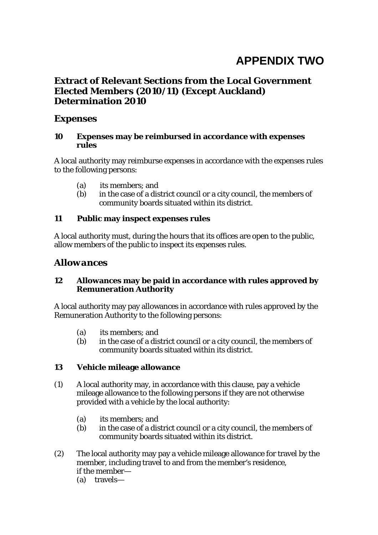# **APPENDIX TWO**

## **Extract of Relevant Sections from the Local Government Elected Members (2010/11) (Except Auckland) Determination 2010**

## *Expenses*

#### **10 Expenses may be reimbursed in accordance with expenses rules**

A local authority may reimburse expenses in accordance with the expenses rules to the following persons:

- (a) its members; and
- (b) in the case of a district council or a city council, the members of community boards situated within its district.

## **11 Public may inspect expenses rules**

A local authority must, during the hours that its offices are open to the public, allow members of the public to inspect its expenses rules.

## *Allowances*

#### **12 Allowances may be paid in accordance with rules approved by Remuneration Authority**

A local authority may pay allowances in accordance with rules approved by the Remuneration Authority to the following persons:

- (a) its members; and
- (b) in the case of a district council or a city council, the members of community boards situated within its district.

## **13 Vehicle mileage allowance**

- (1) A local authority may, in accordance with this clause, pay a vehicle mileage allowance to the following persons if they are not otherwise provided with a vehicle by the local authority:
	- (a) its members; and
	- (b) in the case of a district council or a city council, the members of community boards situated within its district.
- (2) The local authority may pay a vehicle mileage allowance for travel by the member, including travel to and from the member's residence, if the member—
	- (a) travels—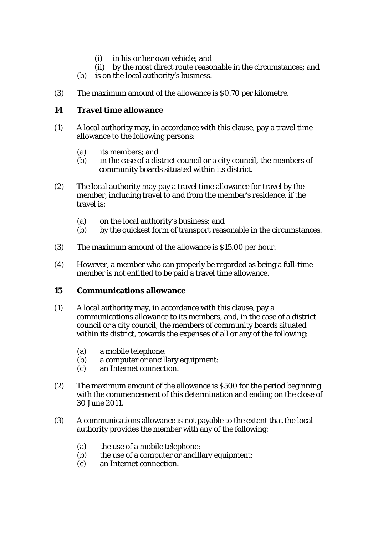- (i) in his or her own vehicle; and
- (ii) by the most direct route reasonable in the circumstances; and
- (b) is on the local authority's business.
- (3) The maximum amount of the allowance is \$0.70 per kilometre.

## **14 Travel time allowance**

- (1) A local authority may, in accordance with this clause, pay a travel time allowance to the following persons:
	- (a) its members; and
	- (b) in the case of a district council or a city council, the members of community boards situated within its district.
- (2) The local authority may pay a travel time allowance for travel by the member, including travel to and from the member's residence, if the travel is:
	- (a) on the local authority's business; and
	- (b) by the quickest form of transport reasonable in the circumstances.
- (3) The maximum amount of the allowance is \$15.00 per hour.
- (4) However, a member who can properly be regarded as being a full-time member is not entitled to be paid a travel time allowance.

#### **15 Communications allowance**

- (1) A local authority may, in accordance with this clause, pay a communications allowance to its members, and, in the case of a district council or a city council, the members of community boards situated within its district, towards the expenses of all or any of the following:
	- (a) a mobile telephone:
	- (b) a computer or ancillary equipment:
	- (c) an Internet connection.
- (2) The maximum amount of the allowance is \$500 for the period beginning with the commencement of this determination and ending on the close of 30 June 2011.
- (3) A communications allowance is not payable to the extent that the local authority provides the member with any of the following:
	- (a) the use of a mobile telephone:
	- (b) the use of a computer or ancillary equipment:
	- (c) an Internet connection.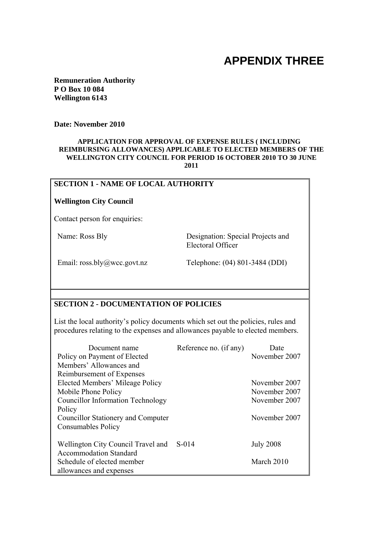# **APPENDIX THREE**

**Remuneration Authority P O Box 10 084 Wellington 6143** 

**Date: November 2010**

#### **APPLICATION FOR APPROVAL OF EXPENSE RULES ( INCLUDING REIMBURSING ALLOWANCES) APPLICABLE TO ELECTED MEMBERS OF THE WELLINGTON CITY COUNCIL FOR PERIOD 16 OCTOBER 2010 TO 30 JUNE 2011**

#### **SECTION 1 - NAME OF LOCAL AUTHORITY**

#### **Wellington City Council**

Contact person for enquiries:

Name: Ross Bly Designation: Special Projects and Electoral Officer

Email: ross.bly@wcc.govt.nz Telephone: (04) 801-3484 (DDI)

## **SECTION 2 - DOCUMENTATION OF POLICIES**

List the local authority's policy documents which set out the policies, rules and procedures relating to the expenses and allowances payable to elected members.

| Document name                            | Reference no. (if any) | Date             |
|------------------------------------------|------------------------|------------------|
| Policy on Payment of Elected             |                        | November 2007    |
| Members' Allowances and                  |                        |                  |
| Reimbursement of Expenses                |                        |                  |
| Elected Members' Mileage Policy          |                        | November 2007    |
| Mobile Phone Policy                      |                        | November 2007    |
| <b>Councillor Information Technology</b> |                        | November 2007    |
| Policy                                   |                        |                  |
| Councillor Stationery and Computer       |                        | November 2007    |
| <b>Consumables Policy</b>                |                        |                  |
|                                          |                        |                  |
| Wellington City Council Travel and       | $S-014$                | <b>July 2008</b> |
| <b>Accommodation Standard</b>            |                        |                  |
| Schedule of elected member               |                        | March 2010       |
| allowances and expenses                  |                        |                  |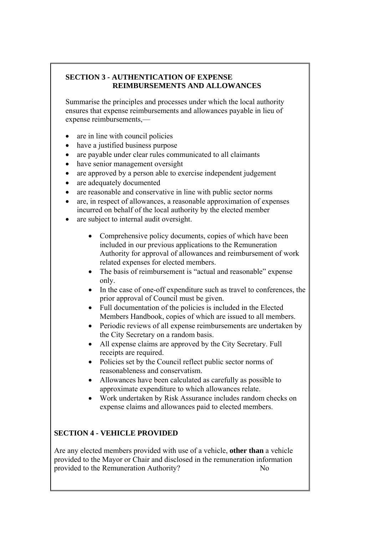## **SECTION 3 - AUTHENTICATION OF EXPENSE REIMBURSEMENTS AND ALLOWANCES**

Summarise the principles and processes under which the local authority ensures that expense reimbursements and allowances payable in lieu of expense reimbursements,—

- are in line with council policies
- have a justified business purpose
- are payable under clear rules communicated to all claimants
- have senior management oversight
- are approved by a person able to exercise independent judgement
- are adequately documented
- are reasonable and conservative in line with public sector norms
- are, in respect of allowances, a reasonable approximation of expenses incurred on behalf of the local authority by the elected member
- are subject to internal audit oversight.
	- Comprehensive policy documents, copies of which have been included in our previous applications to the Remuneration Authority for approval of allowances and reimbursement of work related expenses for elected members.
	- The basis of reimbursement is "actual and reasonable" expense only.
	- In the case of one-off expenditure such as travel to conferences, the prior approval of Council must be given.
	- Full documentation of the policies is included in the Elected Members Handbook, copies of which are issued to all members.
	- Periodic reviews of all expense reimbursements are undertaken by the City Secretary on a random basis.
	- All expense claims are approved by the City Secretary. Full receipts are required.
	- Policies set by the Council reflect public sector norms of reasonableness and conservatism.
	- Allowances have been calculated as carefully as possible to approximate expenditure to which allowances relate.
	- Work undertaken by Risk Assurance includes random checks on expense claims and allowances paid to elected members.

## **SECTION 4 - VEHICLE PROVIDED**

Are any elected members provided with use of a vehicle, **other than** a vehicle provided to the Mayor or Chair and disclosed in the remuneration information provided to the Remuneration Authority? No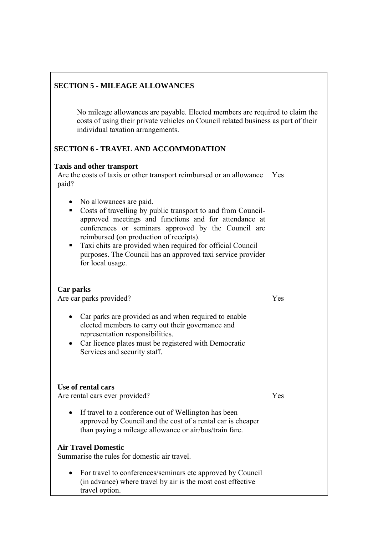## **SECTION 5 - MILEAGE ALLOWANCES**

No mileage allowances are payable. Elected members are required to claim the costs of using their private vehicles on Council related business as part of their individual taxation arrangements.

## **SECTION 6 - TRAVEL AND ACCOMMODATION**

#### **Taxis and other transport**

Are the costs of taxis or other transport reimbursed or an allowance Yes paid?

- No allowances are paid.
- Costs of travelling by public transport to and from Councilapproved meetings and functions and for attendance at conferences or seminars approved by the Council are reimbursed (on production of receipts).
- Taxi chits are provided when required for official Council purposes. The Council has an approved taxi service provider for local usage.

#### **Car parks**

Are car parks provided?

- Car parks are provided as and when required to enable elected members to carry out their governance and representation responsibilities.
- Car licence plates must be registered with Democratic Services and security staff.

#### **Use of rental cars**

Are rental cars ever provided?

• If travel to a conference out of Wellington has been approved by Council and the cost of a rental car is cheaper than paying a mileage allowance or air/bus/train fare.

#### **Air Travel Domestic**

Summarise the rules for domestic air travel.

• For travel to conferences/seminars etc approved by Council (in advance) where travel by air is the most cost effective travel option.

Yes

Yes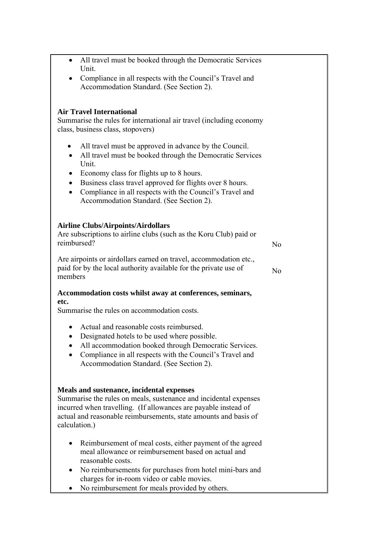| All travel must be booked through the Democratic Services<br>$\bullet$<br>Unit.                                                                                                                                                                                                                                                                                                                  |                |
|--------------------------------------------------------------------------------------------------------------------------------------------------------------------------------------------------------------------------------------------------------------------------------------------------------------------------------------------------------------------------------------------------|----------------|
| Compliance in all respects with the Council's Travel and<br>$\bullet$<br>Accommodation Standard. (See Section 2).                                                                                                                                                                                                                                                                                |                |
| <b>Air Travel International</b><br>Summarise the rules for international air travel (including economy<br>class, business class, stopovers)                                                                                                                                                                                                                                                      |                |
| All travel must be approved in advance by the Council.<br>All travel must be booked through the Democratic Services<br>$\bullet$<br>Unit.<br>Economy class for flights up to 8 hours.<br>$\bullet$<br>Business class travel approved for flights over 8 hours.<br>$\bullet$<br>Compliance in all respects with the Council's Travel and<br>$\bullet$<br>Accommodation Standard. (See Section 2). |                |
| <b>Airline Clubs/Airpoints/Airdollars</b><br>Are subscriptions to airline clubs (such as the Koru Club) paid or<br>reimbursed?                                                                                                                                                                                                                                                                   | N <sub>0</sub> |
| Are airpoints or airdollars earned on travel, accommodation etc.,<br>paid for by the local authority available for the private use of<br>members                                                                                                                                                                                                                                                 | N <sub>0</sub> |
| Accommodation costs whilst away at conferences, seminars,<br>etc.<br>Summarise the rules on accommodation costs.                                                                                                                                                                                                                                                                                 |                |
| Actual and reasonable costs reimbursed.<br>$\bullet$<br>Designated hotels to be used where possible.<br>All accommodation booked through Democratic Services.<br>Compliance in all respects with the Council's Travel and<br>Accommodation Standard. (See Section 2).                                                                                                                            |                |
| Meals and sustenance, incidental expenses<br>Summarise the rules on meals, sustenance and incidental expenses<br>incurred when travelling. (If allowances are payable instead of<br>actual and reasonable reimbursements, state amounts and basis of<br>calculation.)                                                                                                                            |                |
| Reimbursement of meal costs, either payment of the agreed<br>meal allowance or reimbursement based on actual and<br>reasonable costs.<br>No reimbursements for purchases from hotel mini-bars and<br>charges for in-room video or cable movies.<br>No reimbursement for meals provided by others.                                                                                                |                |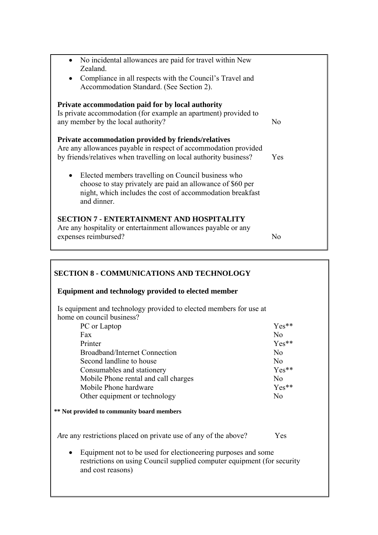| No incidental allowances are paid for travel within New<br>Zealand.<br>Compliance in all respects with the Council's Travel and<br>Accommodation Standard. (See Section 2).                               |                |
|-----------------------------------------------------------------------------------------------------------------------------------------------------------------------------------------------------------|----------------|
| Private accommodation paid for by local authority<br>Is private accommodation (for example an apartment) provided to<br>any member by the local authority?                                                | N <sub>0</sub> |
| Private accommodation provided by friends/relatives<br>Are any allowances payable in respect of accommodation provided<br>by friends/relatives when travelling on local authority business?               | Yes            |
| Elected members travelling on Council business who<br>$\bullet$<br>choose to stay privately are paid an allowance of \$60 per<br>night, which includes the cost of accommodation breakfast<br>and dinner. |                |
| <b>SECTION 7 - ENTERTAINMENT AND HOSPITALITY</b><br>Are any hospitality or entertainment allowances payable or any<br>expenses reimbursed?                                                                | N0             |

| <b>SECTION 8 - COMMUNICATIONS AND TECHNOLOGY</b>                                                                                                              |                |
|---------------------------------------------------------------------------------------------------------------------------------------------------------------|----------------|
| Equipment and technology provided to elected member                                                                                                           |                |
| Is equipment and technology provided to elected members for use at<br>home on council business?                                                               |                |
| PC or Laptop                                                                                                                                                  | $Yes**$        |
| Fax                                                                                                                                                           | No             |
| Printer                                                                                                                                                       | Yes**          |
| Broadband/Internet Connection                                                                                                                                 | No             |
| Second landline to house                                                                                                                                      | N <sub>o</sub> |
| Consumables and stationery                                                                                                                                    | Yes**          |
| Mobile Phone rental and call charges                                                                                                                          | No             |
| Mobile Phone hardware                                                                                                                                         | $Yes**$        |
| Other equipment or technology                                                                                                                                 | No             |
| <b>** Not provided to community board members</b>                                                                                                             |                |
| Are any restrictions placed on private use of any of the above?                                                                                               | Yes            |
| Equipment not to be used for electioneering purposes and some<br>restrictions on using Council supplied computer equipment (for security<br>and cost reasons) |                |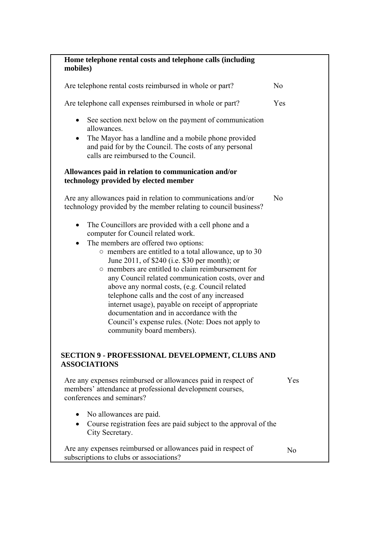| Home telephone rental costs and telephone calls (including<br>mobiles)                                                                                                                                                                                                                                                                                                                                                                                                                                                                                                                                                                                                       |     |
|------------------------------------------------------------------------------------------------------------------------------------------------------------------------------------------------------------------------------------------------------------------------------------------------------------------------------------------------------------------------------------------------------------------------------------------------------------------------------------------------------------------------------------------------------------------------------------------------------------------------------------------------------------------------------|-----|
| Are telephone rental costs reimbursed in whole or part?                                                                                                                                                                                                                                                                                                                                                                                                                                                                                                                                                                                                                      | No  |
| Are telephone call expenses reimbursed in whole or part?                                                                                                                                                                                                                                                                                                                                                                                                                                                                                                                                                                                                                     | Yes |
| See section next below on the payment of communication<br>٠<br>allowances.<br>The Mayor has a landline and a mobile phone provided<br>٠<br>and paid for by the Council. The costs of any personal<br>calls are reimbursed to the Council.                                                                                                                                                                                                                                                                                                                                                                                                                                    |     |
| Allowances paid in relation to communication and/or<br>technology provided by elected member                                                                                                                                                                                                                                                                                                                                                                                                                                                                                                                                                                                 |     |
| Are any allowances paid in relation to communications and/or<br>technology provided by the member relating to council business?                                                                                                                                                                                                                                                                                                                                                                                                                                                                                                                                              | No  |
| The Councillors are provided with a cell phone and a<br>$\bullet$<br>computer for Council related work.<br>The members are offered two options:<br>$\bullet$<br>$\circ$ members are entitled to a total allowance, up to 30<br>June 2011, of \$240 (i.e. \$30 per month); or<br>o members are entitled to claim reimbursement for<br>any Council related communication costs, over and<br>above any normal costs, (e.g. Council related<br>telephone calls and the cost of any increased<br>internet usage), payable on receipt of appropriate<br>documentation and in accordance with the<br>Council's expense rules. (Note: Does not apply to<br>community board members). |     |
| <b>SECTION 9 - PROFESSIONAL DEVELOPMENT, CLUBS AND</b><br><b>ASSOCIATIONS</b>                                                                                                                                                                                                                                                                                                                                                                                                                                                                                                                                                                                                |     |
| Are any expenses reimbursed or allowances paid in respect of<br>members' attendance at professional development courses,<br>conferences and seminars?                                                                                                                                                                                                                                                                                                                                                                                                                                                                                                                        | Yes |
| No allowances are paid.<br>Course registration fees are paid subject to the approval of the<br>City Secretary.                                                                                                                                                                                                                                                                                                                                                                                                                                                                                                                                                               |     |
| Are any expenses reimbursed or allowances paid in respect of<br>subscriptions to clubs or associations?                                                                                                                                                                                                                                                                                                                                                                                                                                                                                                                                                                      | No  |